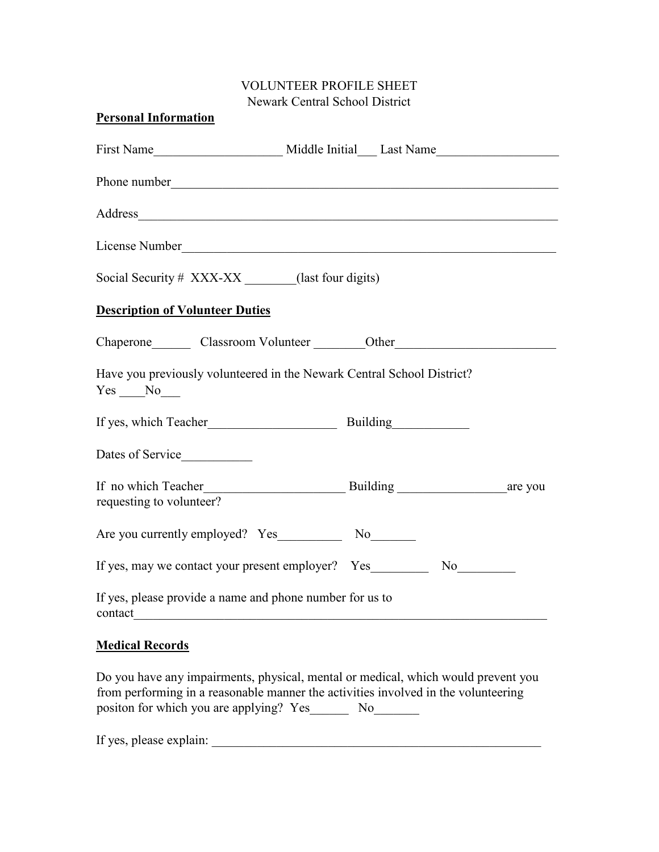## VOLUNTEER PROFILE SHEET Newark Central School District

|  | Social Security # XXX-XX (last four digits)<br>Are you currently employed? Yes No<br>If yes, please provide a name and phone number for us to | Phone number<br>Address<br>License Number 2008<br>Chaperone Classroom Volunteer Other Chaperone Chaperone Classroom Volunteer<br>Have you previously volunteered in the Newark Central School District?<br>If yes, may we contact your present employer? Yes No No |
|--|-----------------------------------------------------------------------------------------------------------------------------------------------|--------------------------------------------------------------------------------------------------------------------------------------------------------------------------------------------------------------------------------------------------------------------|

## **Medical Records**

Do you have any impairments, physical, mental or medical, which would prevent you from performing in a reasonable manner the activities involved in the volunteering positon for which you are applying? Yes\_\_\_\_\_\_\_\_\_ No\_\_\_\_\_\_\_\_\_

If yes, please explain: \_\_\_\_\_\_\_\_\_\_\_\_\_\_\_\_\_\_\_\_\_\_\_\_\_\_\_\_\_\_\_\_\_\_\_\_\_\_\_\_\_\_\_\_\_\_\_\_\_\_\_